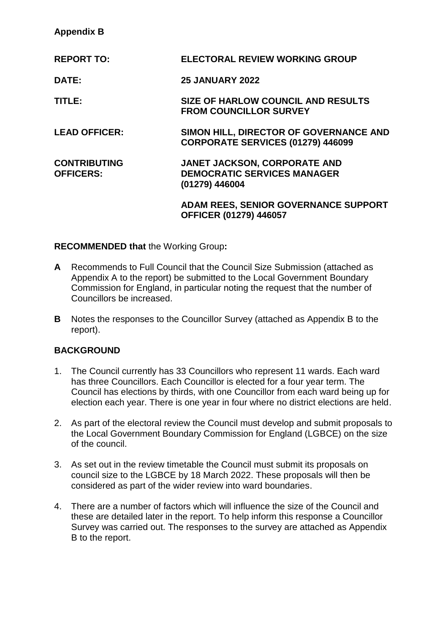# **Appendix B**

| <b>REPORT TO:</b>                       | <b>ELECTORAL REVIEW WORKING GROUP</b>                                                |
|-----------------------------------------|--------------------------------------------------------------------------------------|
| DATE:                                   | <b>25 JANUARY 2022</b>                                                               |
| TITLE:                                  | <b>SIZE OF HARLOW COUNCIL AND RESULTS</b><br><b>FROM COUNCILLOR SURVEY</b>           |
| <b>LEAD OFFICER:</b>                    | SIMON HILL, DIRECTOR OF GOVERNANCE AND<br>CORPORATE SERVICES (01279) 446099          |
| <b>CONTRIBUTING</b><br><b>OFFICERS:</b> | JANET JACKSON, CORPORATE AND<br><b>DEMOCRATIC SERVICES MANAGER</b><br>(01279) 446004 |
|                                         | ADAM REES, SENIOR GOVERNANCE SUPPORT<br>OFFICER (01279) 446057                       |

**RECOMMENDED that** the Working Group**:**

- **A** Recommends to Full Council that the Council Size Submission (attached as Appendix A to the report) be submitted to the Local Government Boundary Commission for England, in particular noting the request that the number of Councillors be increased.
- **B** Notes the responses to the Councillor Survey (attached as Appendix B to the report).

#### **BACKGROUND**

- 1. The Council currently has 33 Councillors who represent 11 wards. Each ward has three Councillors. Each Councillor is elected for a four year term. The Council has elections by thirds, with one Councillor from each ward being up for election each year. There is one year in four where no district elections are held.
- 2. As part of the electoral review the Council must develop and submit proposals to the Local Government Boundary Commission for England (LGBCE) on the size of the council.
- 3. As set out in the review timetable the Council must submit its proposals on council size to the LGBCE by 18 March 2022. These proposals will then be considered as part of the wider review into ward boundaries.
- 4. There are a number of factors which will influence the size of the Council and these are detailed later in the report. To help inform this response a Councillor Survey was carried out. The responses to the survey are attached as Appendix B to the report.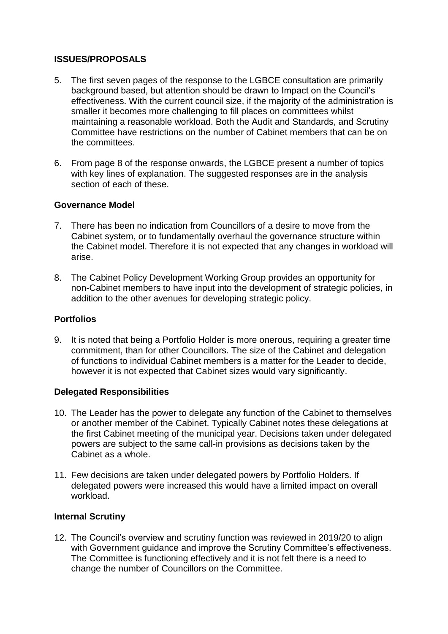## **ISSUES/PROPOSALS**

- 5. The first seven pages of the response to the LGBCE consultation are primarily background based, but attention should be drawn to Impact on the Council's effectiveness. With the current council size, if the majority of the administration is smaller it becomes more challenging to fill places on committees whilst maintaining a reasonable workload. Both the Audit and Standards, and Scrutiny Committee have restrictions on the number of Cabinet members that can be on the committees.
- 6. From page 8 of the response onwards, the LGBCE present a number of topics with key lines of explanation. The suggested responses are in the analysis section of each of these.

## **Governance Model**

- 7. There has been no indication from Councillors of a desire to move from the Cabinet system, or to fundamentally overhaul the governance structure within the Cabinet model. Therefore it is not expected that any changes in workload will arise.
- 8. The Cabinet Policy Development Working Group provides an opportunity for non-Cabinet members to have input into the development of strategic policies, in addition to the other avenues for developing strategic policy.

#### **Portfolios**

9. It is noted that being a Portfolio Holder is more onerous, requiring a greater time commitment, than for other Councillors. The size of the Cabinet and delegation of functions to individual Cabinet members is a matter for the Leader to decide, however it is not expected that Cabinet sizes would vary significantly.

# **Delegated Responsibilities**

- 10. The Leader has the power to delegate any function of the Cabinet to themselves or another member of the Cabinet. Typically Cabinet notes these delegations at the first Cabinet meeting of the municipal year. Decisions taken under delegated powers are subject to the same call-in provisions as decisions taken by the Cabinet as a whole.
- 11. Few decisions are taken under delegated powers by Portfolio Holders. If delegated powers were increased this would have a limited impact on overall workload.

#### **Internal Scrutiny**

12. The Council's overview and scrutiny function was reviewed in 2019/20 to align with Government guidance and improve the Scrutiny Committee's effectiveness. The Committee is functioning effectively and it is not felt there is a need to change the number of Councillors on the Committee.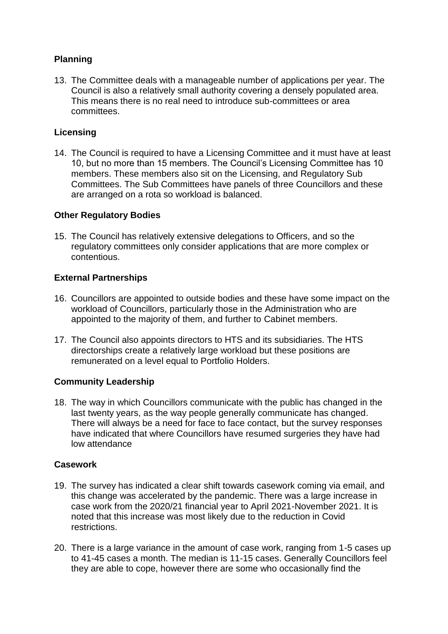# **Planning**

13. The Committee deals with a manageable number of applications per year. The Council is also a relatively small authority covering a densely populated area. This means there is no real need to introduce sub-committees or area committees.

## **Licensing**

14. The Council is required to have a Licensing Committee and it must have at least 10, but no more than 15 members. The Council's Licensing Committee has 10 members. These members also sit on the Licensing, and Regulatory Sub Committees. The Sub Committees have panels of three Councillors and these are arranged on a rota so workload is balanced.

## **Other Regulatory Bodies**

15. The Council has relatively extensive delegations to Officers, and so the regulatory committees only consider applications that are more complex or contentious.

## **External Partnerships**

- 16. Councillors are appointed to outside bodies and these have some impact on the workload of Councillors, particularly those in the Administration who are appointed to the majority of them, and further to Cabinet members.
- 17. The Council also appoints directors to HTS and its subsidiaries. The HTS directorships create a relatively large workload but these positions are remunerated on a level equal to Portfolio Holders.

# **Community Leadership**

18. The way in which Councillors communicate with the public has changed in the last twenty years, as the way people generally communicate has changed. There will always be a need for face to face contact, but the survey responses have indicated that where Councillors have resumed surgeries they have had low attendance

#### **Casework**

- 19. The survey has indicated a clear shift towards casework coming via email, and this change was accelerated by the pandemic. There was a large increase in case work from the 2020/21 financial year to April 2021-November 2021. It is noted that this increase was most likely due to the reduction in Covid restrictions.
- 20. There is a large variance in the amount of case work, ranging from 1-5 cases up to 41-45 cases a month. The median is 11-15 cases. Generally Councillors feel they are able to cope, however there are some who occasionally find the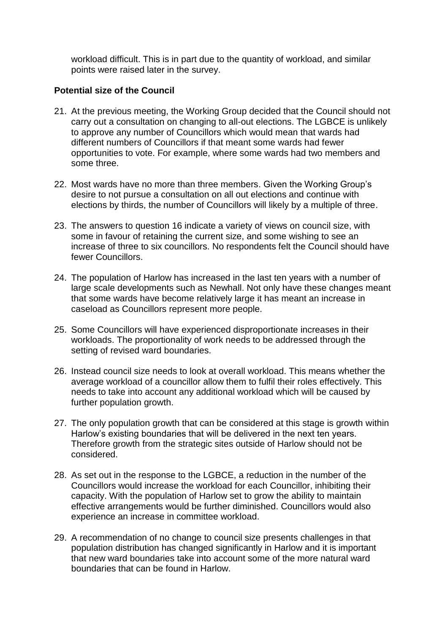workload difficult. This is in part due to the quantity of workload, and similar points were raised later in the survey.

## **Potential size of the Council**

- 21. At the previous meeting, the Working Group decided that the Council should not carry out a consultation on changing to all-out elections. The LGBCE is unlikely to approve any number of Councillors which would mean that wards had different numbers of Councillors if that meant some wards had fewer opportunities to vote. For example, where some wards had two members and some three.
- 22. Most wards have no more than three members. Given the Working Group's desire to not pursue a consultation on all out elections and continue with elections by thirds, the number of Councillors will likely by a multiple of three.
- 23. The answers to question 16 indicate a variety of views on council size, with some in favour of retaining the current size, and some wishing to see an increase of three to six councillors. No respondents felt the Council should have fewer Councillors.
- 24. The population of Harlow has increased in the last ten years with a number of large scale developments such as Newhall. Not only have these changes meant that some wards have become relatively large it has meant an increase in caseload as Councillors represent more people.
- 25. Some Councillors will have experienced disproportionate increases in their workloads. The proportionality of work needs to be addressed through the setting of revised ward boundaries.
- 26. Instead council size needs to look at overall workload. This means whether the average workload of a councillor allow them to fulfil their roles effectively. This needs to take into account any additional workload which will be caused by further population growth.
- 27. The only population growth that can be considered at this stage is growth within Harlow's existing boundaries that will be delivered in the next ten years. Therefore growth from the strategic sites outside of Harlow should not be considered.
- 28. As set out in the response to the LGBCE, a reduction in the number of the Councillors would increase the workload for each Councillor, inhibiting their capacity. With the population of Harlow set to grow the ability to maintain effective arrangements would be further diminished. Councillors would also experience an increase in committee workload.
- 29. A recommendation of no change to council size presents challenges in that population distribution has changed significantly in Harlow and it is important that new ward boundaries take into account some of the more natural ward boundaries that can be found in Harlow.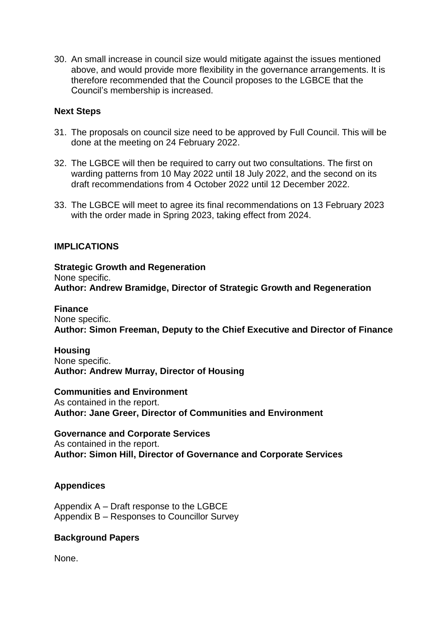30. An small increase in council size would mitigate against the issues mentioned above, and would provide more flexibility in the governance arrangements. It is therefore recommended that the Council proposes to the LGBCE that the Council's membership is increased.

## **Next Steps**

- 31. The proposals on council size need to be approved by Full Council. This will be done at the meeting on 24 February 2022.
- 32. The LGBCE will then be required to carry out two consultations. The first on warding patterns from 10 May 2022 until 18 July 2022, and the second on its draft recommendations from 4 October 2022 until 12 December 2022.
- 33. The LGBCE will meet to agree its final recommendations on 13 February 2023 with the order made in Spring 2023, taking effect from 2024.

#### **IMPLICATIONS**

**Strategic Growth and Regeneration** None specific. **Author: Andrew Bramidge, Director of Strategic Growth and Regeneration** 

#### **Finance**

None specific. **Author: Simon Freeman, Deputy to the Chief Executive and Director of Finance**

#### **Housing**

None specific. **Author: Andrew Murray, Director of Housing** 

#### **Communities and Environment**

As contained in the report. **Author: Jane Greer, Director of Communities and Environment**

#### **Governance and Corporate Services**

As contained in the report. **Author: Simon Hill, Director of Governance and Corporate Services**

#### **Appendices**

Appendix A – Draft response to the LGBCE Appendix B – Responses to Councillor Survey

#### **Background Papers**

None.